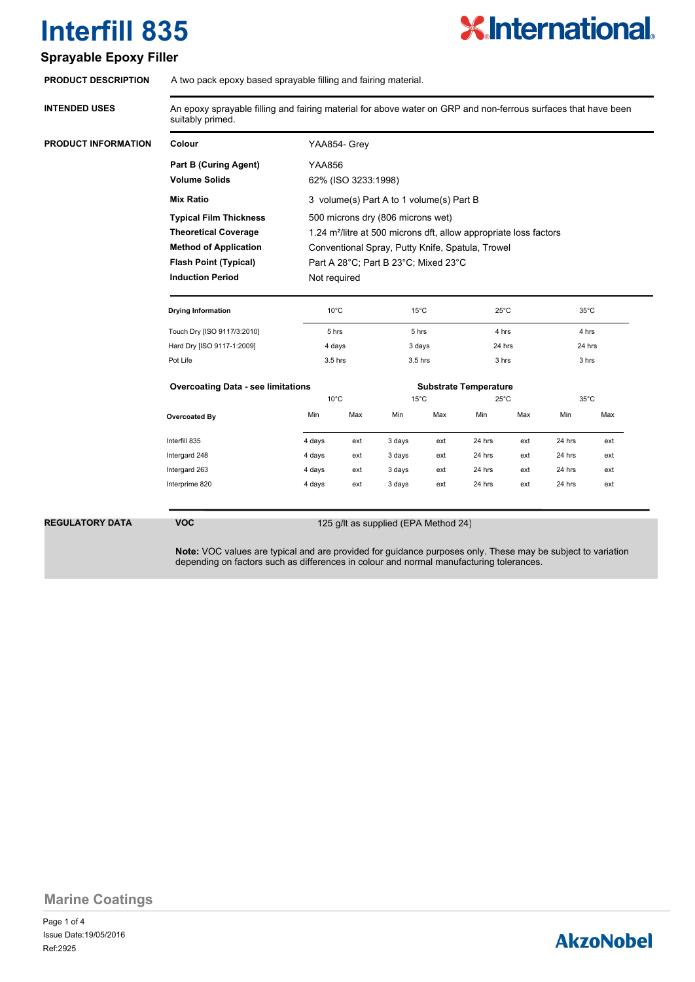# **X.International.**

### **Sprayable Epoxy Filler**

| <b>PRODUCT DESCRIPTION</b> | A two pack epoxy based sprayable filling and fairing material. |  |
|----------------------------|----------------------------------------------------------------|--|
|                            |                                                                |  |

| <b>INTENDED USES</b> | An epoxy sprayable filling and fairing material for above water on GRP and non-ferrous surfaces that have been<br>suitably primed. |                                                                               |        |                              |        |                |        |                |        |  |
|----------------------|------------------------------------------------------------------------------------------------------------------------------------|-------------------------------------------------------------------------------|--------|------------------------------|--------|----------------|--------|----------------|--------|--|
| PRODUCT INFORMATION  | Colour                                                                                                                             | YAA854- Grev                                                                  |        |                              |        |                |        |                |        |  |
|                      | <b>Part B (Curing Agent)</b>                                                                                                       | <b>YAA856</b>                                                                 |        |                              |        |                |        |                |        |  |
|                      | <b>Volume Solids</b>                                                                                                               | 62% (ISO 3233:1998)                                                           |        |                              |        |                |        |                |        |  |
|                      | <b>Mix Ratio</b>                                                                                                                   | 3 volume(s) Part A to 1 volume(s) Part B                                      |        |                              |        |                |        |                |        |  |
|                      | <b>Typical Film Thickness</b>                                                                                                      | 500 microns dry (806 microns wet)                                             |        |                              |        |                |        |                |        |  |
|                      | <b>Theoretical Coverage</b>                                                                                                        | 1.24 m <sup>2</sup> /litre at 500 microns dft, allow appropriate loss factors |        |                              |        |                |        |                |        |  |
|                      | <b>Method of Application</b>                                                                                                       | Conventional Spray, Putty Knife, Spatula, Trowel                              |        |                              |        |                |        |                |        |  |
|                      | <b>Flash Point (Typical)</b>                                                                                                       | Part A 28°C; Part B 23°C; Mixed 23°C                                          |        |                              |        |                |        |                |        |  |
|                      | <b>Induction Period</b><br>Not required                                                                                            |                                                                               |        |                              |        |                |        |                |        |  |
|                      | <b>Drying Information</b>                                                                                                          | $10^{\circ}$ C                                                                |        | $15^{\circ}$ C               |        | $25^{\circ}$ C |        | $35^{\circ}$ C |        |  |
|                      | Touch Dry [ISO 9117/3:2010]                                                                                                        | 5 hrs                                                                         |        | 5 hrs                        |        | 4 hrs          |        | 4 hrs          |        |  |
|                      | Hard Dry [ISO 9117-1:2009]                                                                                                         |                                                                               | 4 days |                              | 3 days |                | 24 hrs |                | 24 hrs |  |
|                      | Pot Life                                                                                                                           | 3.5 hrs                                                                       |        | 3.5 hrs                      |        | 3 hrs          |        | 3 hrs          |        |  |
|                      | <b>Overcoating Data - see limitations</b>                                                                                          |                                                                               |        | <b>Substrate Temperature</b> |        |                |        |                |        |  |
|                      |                                                                                                                                    | $10^{\circ}$ C                                                                |        | $15^{\circ}$ C               |        | $25^{\circ}$ C |        | $35^{\circ}$ C |        |  |
|                      | Overcoated By                                                                                                                      | Min                                                                           | Max    | Min                          | Max    | Min            | Max    | Min            | Max    |  |
|                      | Interfill 835                                                                                                                      | 4 days                                                                        | ext    | 3 days                       | ext    | 24 hrs         | ext    | 24 hrs         | ext    |  |
|                      | Intergard 248                                                                                                                      | 4 days                                                                        | ext    | 3 days                       | ext    | 24 hrs         | ext    | 24 hrs         | ext    |  |
|                      | Intergard 263                                                                                                                      | 4 days                                                                        | ext    | 3 days                       | ext    | 24 hrs         | ext    | 24 hrs         | ext    |  |
|                      |                                                                                                                                    |                                                                               |        |                              |        |                |        |                |        |  |

**REGULATORY DATA VOC**

#### 125 g/lt as supplied (EPA Method 24)

**Note:** VOC values are typical and are provided for guidance purposes only. These may be subject to variation depending on factors such as differences in colour and normal manufacturing tolerances.

**Marine Coatings**

Page 1 of 4 Ref:2925 Issue Date:19/05/2016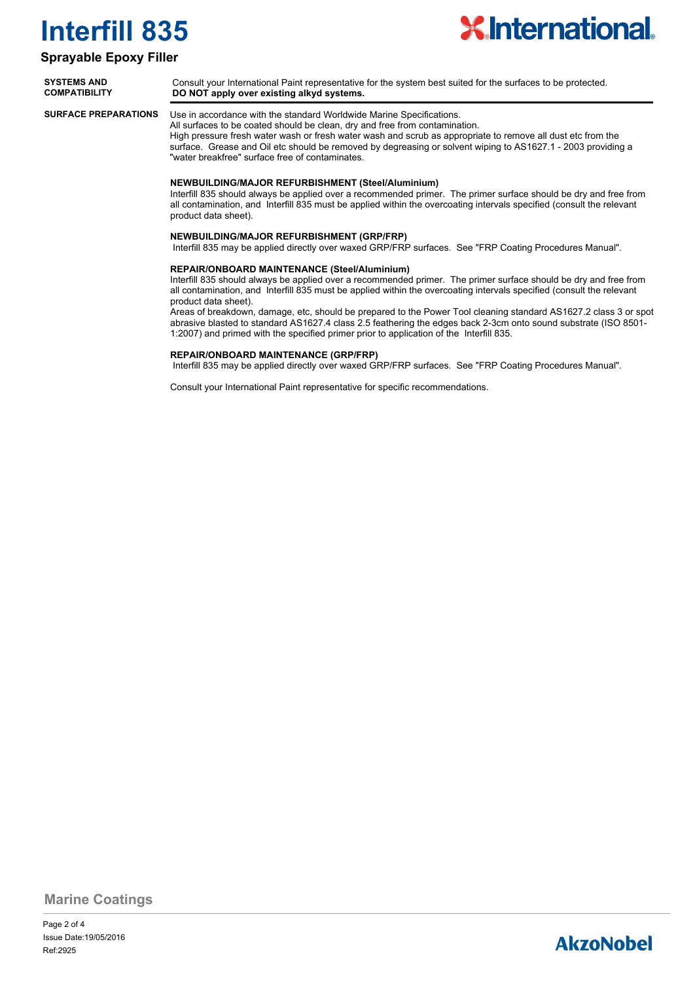

#### **Sprayable Epoxy Filler**

| <b>SYSTEMS AND</b>   | Consult your International Paint representative for the system best suited for the surfaces to be protected. |
|----------------------|--------------------------------------------------------------------------------------------------------------|
| <b>COMPATIBILITY</b> | DO NOT apply over existing alkyd systems.                                                                    |
| CHEEACE BEEDADATIONS | Llee in accordance with the standard Werldwide Merine Coosifications                                         |

**SURFACE PREPARATIONS**

Use in accordance with the standard Worldwide Marine Specifications. All surfaces to be coated should be clean, dry and free from contamination.

High pressure fresh water wash or fresh water wash and scrub as appropriate to remove all dust etc from the surface. Grease and Oil etc should be removed by degreasing or solvent wiping to AS1627.1 - 2003 providing a "water breakfree" surface free of contaminates.

#### **NEWBUILDING/MAJOR REFURBISHMENT (Steel/Aluminium)**

Interfill 835 should always be applied over a recommended primer. The primer surface should be dry and free from all contamination, and Interfill 835 must be applied within the overcoating intervals specified (consult the relevant product data sheet).

#### **NEWBUILDING/MAJOR REFURBISHMENT (GRP/FRP)**

Interfill 835 may be applied directly over waxed GRP/FRP surfaces. See "FRP Coating Procedures Manual".

#### **REPAIR/ONBOARD MAINTENANCE (Steel/Aluminium)**

Interfill 835 should always be applied over a recommended primer. The primer surface should be dry and free from all contamination, and Interfill 835 must be applied within the overcoating intervals specified (consult the relevant product data sheet).

Areas of breakdown, damage, etc, should be prepared to the Power Tool cleaning standard AS1627.2 class 3 or spot abrasive blasted to standard AS1627.4 class 2.5 feathering the edges back 2-3cm onto sound substrate (ISO 8501- 1:2007) and primed with the specified primer prior to application of the Interfill 835.

#### **REPAIR/ONBOARD MAINTENANCE (GRP/FRP)**

Interfill 835 may be applied directly over waxed GRP/FRP surfaces. See "FRP Coating Procedures Manual".

Consult your International Paint representative for specific recommendations.

**Marine Coatings**

Page 2 of 4 Ref:2925 Issue Date:19/05/2016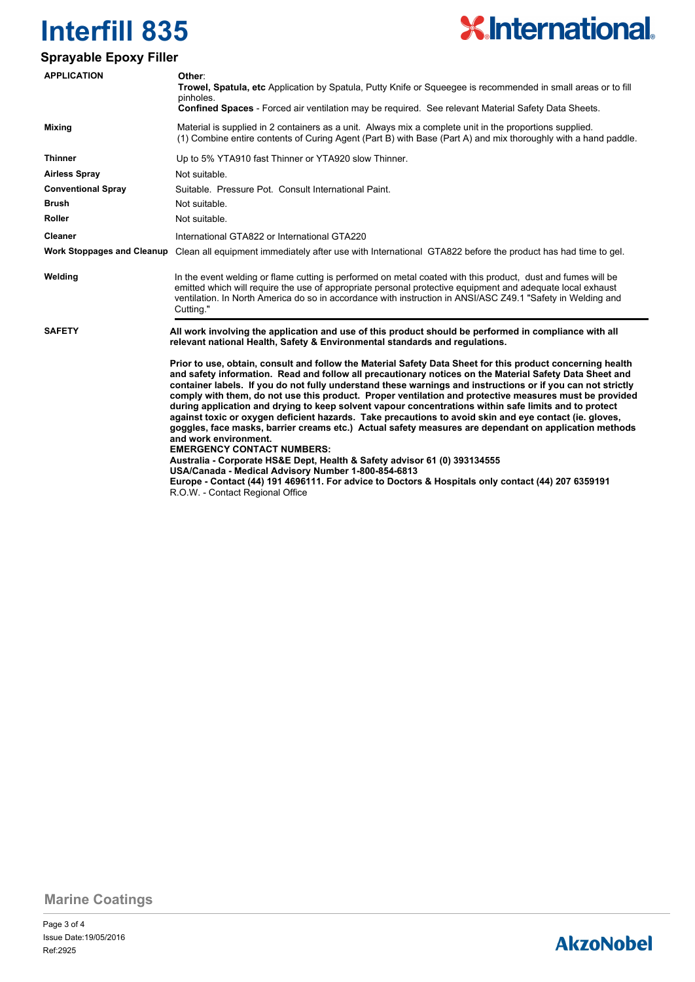

### **Sprayable Epoxy Filler**

| <b>APPLICATION</b>                | Other:<br><b>Trowel, Spatula, etc</b> Application by Spatula, Putty Knife or Squeegee is recommended in small areas or to fill<br>pinholes.<br>Confined Spaces - Forced air ventilation may be required. See relevant Material Safety Data Sheets.                                                                                                                                                                                                                                                                                                                                                                                                                                                                                                                                                                                                                                                                                                                                                                                                                                                                     |  |  |  |  |  |
|-----------------------------------|------------------------------------------------------------------------------------------------------------------------------------------------------------------------------------------------------------------------------------------------------------------------------------------------------------------------------------------------------------------------------------------------------------------------------------------------------------------------------------------------------------------------------------------------------------------------------------------------------------------------------------------------------------------------------------------------------------------------------------------------------------------------------------------------------------------------------------------------------------------------------------------------------------------------------------------------------------------------------------------------------------------------------------------------------------------------------------------------------------------------|--|--|--|--|--|
| <b>Mixing</b>                     | Material is supplied in 2 containers as a unit. Always mix a complete unit in the proportions supplied.<br>(1) Combine entire contents of Curing Agent (Part B) with Base (Part A) and mix thoroughly with a hand paddle.                                                                                                                                                                                                                                                                                                                                                                                                                                                                                                                                                                                                                                                                                                                                                                                                                                                                                              |  |  |  |  |  |
| <b>Thinner</b>                    | Up to 5% YTA910 fast Thinner or YTA920 slow Thinner.                                                                                                                                                                                                                                                                                                                                                                                                                                                                                                                                                                                                                                                                                                                                                                                                                                                                                                                                                                                                                                                                   |  |  |  |  |  |
| <b>Airless Spray</b>              | Not suitable.                                                                                                                                                                                                                                                                                                                                                                                                                                                                                                                                                                                                                                                                                                                                                                                                                                                                                                                                                                                                                                                                                                          |  |  |  |  |  |
| <b>Conventional Spray</b>         | Suitable. Pressure Pot. Consult International Paint.                                                                                                                                                                                                                                                                                                                                                                                                                                                                                                                                                                                                                                                                                                                                                                                                                                                                                                                                                                                                                                                                   |  |  |  |  |  |
| <b>Brush</b>                      | Not suitable.                                                                                                                                                                                                                                                                                                                                                                                                                                                                                                                                                                                                                                                                                                                                                                                                                                                                                                                                                                                                                                                                                                          |  |  |  |  |  |
| <b>Roller</b>                     | Not suitable.                                                                                                                                                                                                                                                                                                                                                                                                                                                                                                                                                                                                                                                                                                                                                                                                                                                                                                                                                                                                                                                                                                          |  |  |  |  |  |
| <b>Cleaner</b>                    | International GTA822 or International GTA220                                                                                                                                                                                                                                                                                                                                                                                                                                                                                                                                                                                                                                                                                                                                                                                                                                                                                                                                                                                                                                                                           |  |  |  |  |  |
| <b>Work Stoppages and Cleanup</b> | Clean all equipment immediately after use with International GTA822 before the product has had time to gel.                                                                                                                                                                                                                                                                                                                                                                                                                                                                                                                                                                                                                                                                                                                                                                                                                                                                                                                                                                                                            |  |  |  |  |  |
| Welding                           | In the event welding or flame cutting is performed on metal coated with this product, dust and fumes will be<br>emitted which will require the use of appropriate personal protective equipment and adequate local exhaust<br>ventilation. In North America do so in accordance with instruction in ANSI/ASC Z49.1 "Safety in Welding and<br>Cutting."                                                                                                                                                                                                                                                                                                                                                                                                                                                                                                                                                                                                                                                                                                                                                                 |  |  |  |  |  |
| <b>SAFETY</b>                     | All work involving the application and use of this product should be performed in compliance with all<br>relevant national Health, Safety & Environmental standards and regulations.                                                                                                                                                                                                                                                                                                                                                                                                                                                                                                                                                                                                                                                                                                                                                                                                                                                                                                                                   |  |  |  |  |  |
|                                   | Prior to use, obtain, consult and follow the Material Safety Data Sheet for this product concerning health<br>and safety information. Read and follow all precautionary notices on the Material Safety Data Sheet and<br>container labels. If you do not fully understand these warnings and instructions or if you can not strictly<br>comply with them, do not use this product. Proper ventilation and protective measures must be provided<br>during application and drying to keep solvent vapour concentrations within safe limits and to protect<br>against toxic or oxygen deficient hazards. Take precautions to avoid skin and eye contact (ie. gloves,<br>goggles, face masks, barrier creams etc.) Actual safety measures are dependant on application methods<br>and work environment.<br><b>EMERGENCY CONTACT NUMBERS:</b><br>Australia - Corporate HS&E Dept, Health & Safety advisor 61 (0) 393134555<br>USA/Canada - Medical Advisory Number 1-800-854-6813<br>Europe - Contact (44) 191 4696111. For advice to Doctors & Hospitals only contact (44) 207 6359191<br>R.O.W. - Contact Regional Office |  |  |  |  |  |

**Marine Coatings**